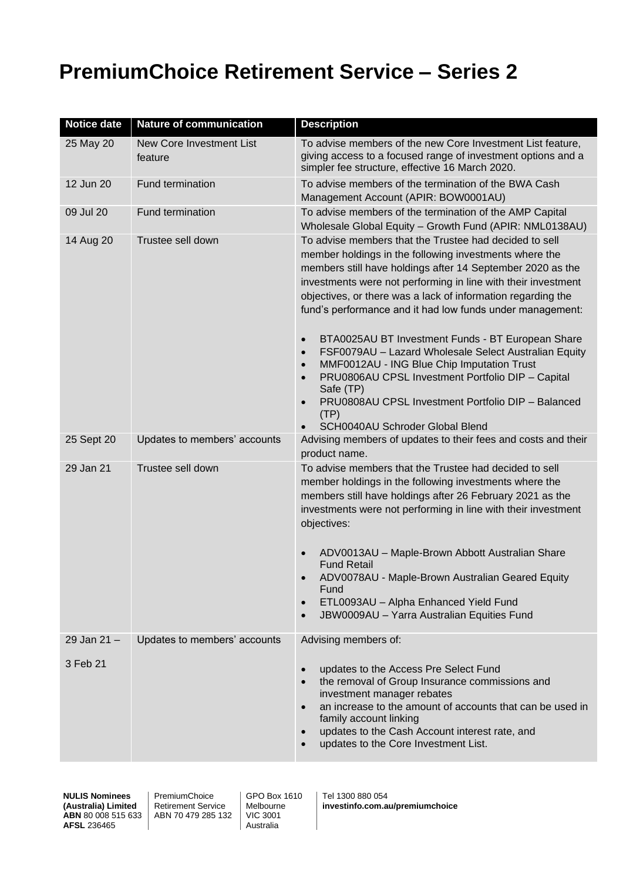## **PremiumChoice Retirement Service – Series 2**

| <b>Notice date</b> | <b>Nature of communication</b>      | <b>Description</b>                                                                                                                                                                                                                                                                                                                                                                                                                                                                                                                                                                                                                                                                                                                                 |  |  |
|--------------------|-------------------------------------|----------------------------------------------------------------------------------------------------------------------------------------------------------------------------------------------------------------------------------------------------------------------------------------------------------------------------------------------------------------------------------------------------------------------------------------------------------------------------------------------------------------------------------------------------------------------------------------------------------------------------------------------------------------------------------------------------------------------------------------------------|--|--|
| 25 May 20          | New Core Investment List<br>feature | To advise members of the new Core Investment List feature,<br>giving access to a focused range of investment options and a<br>simpler fee structure, effective 16 March 2020.                                                                                                                                                                                                                                                                                                                                                                                                                                                                                                                                                                      |  |  |
| 12 Jun 20          | <b>Fund termination</b>             | To advise members of the termination of the BWA Cash<br>Management Account (APIR: BOW0001AU)                                                                                                                                                                                                                                                                                                                                                                                                                                                                                                                                                                                                                                                       |  |  |
| 09 Jul 20          | Fund termination                    | To advise members of the termination of the AMP Capital<br>Wholesale Global Equity - Growth Fund (APIR: NML0138AU)                                                                                                                                                                                                                                                                                                                                                                                                                                                                                                                                                                                                                                 |  |  |
| 14 Aug 20          | Trustee sell down                   | To advise members that the Trustee had decided to sell<br>member holdings in the following investments where the<br>members still have holdings after 14 September 2020 as the<br>investments were not performing in line with their investment<br>objectives, or there was a lack of information regarding the<br>fund's performance and it had low funds under management:<br>BTA0025AU BT Investment Funds - BT European Share<br>$\bullet$<br>FSF0079AU - Lazard Wholesale Select Australian Equity<br>$\bullet$<br>MMF0012AU - ING Blue Chip Imputation Trust<br>$\bullet$<br>PRU0806AU CPSL Investment Portfolio DIP - Capital<br>Safe (TP)<br>PRU0808AU CPSL Investment Portfolio DIP - Balanced<br>(TP)<br>SCH0040AU Schroder Global Blend |  |  |
| 25 Sept 20         | Updates to members' accounts        | Advising members of updates to their fees and costs and their<br>product name.                                                                                                                                                                                                                                                                                                                                                                                                                                                                                                                                                                                                                                                                     |  |  |
| 29 Jan 21          | Trustee sell down                   | To advise members that the Trustee had decided to sell<br>member holdings in the following investments where the<br>members still have holdings after 26 February 2021 as the<br>investments were not performing in line with their investment<br>objectives:<br>ADV0013AU - Maple-Brown Abbott Australian Share<br><b>Fund Retail</b><br>ADV0078AU - Maple-Brown Australian Geared Equity<br>Fund<br>ETL0093AU - Alpha Enhanced Yield Fund<br>JBW0009AU - Yarra Australian Equities Fund                                                                                                                                                                                                                                                          |  |  |
| 29 Jan 21 -        | Updates to members' accounts        | Advising members of:                                                                                                                                                                                                                                                                                                                                                                                                                                                                                                                                                                                                                                                                                                                               |  |  |
| 3 Feb 21           |                                     | updates to the Access Pre Select Fund<br>$\bullet$<br>the removal of Group Insurance commissions and<br>$\bullet$<br>investment manager rebates<br>an increase to the amount of accounts that can be used in<br>family account linking<br>updates to the Cash Account interest rate, and<br>$\bullet$<br>updates to the Core Investment List.                                                                                                                                                                                                                                                                                                                                                                                                      |  |  |

**NULIS Nominees (Australia) Limited ABN** 80 008 515 633 **AFSL** 236465

PremiumChoice Retirement Service ABN 70 479 285 132

GPO Box 1610 **Melbourne** VIC 3001 Australia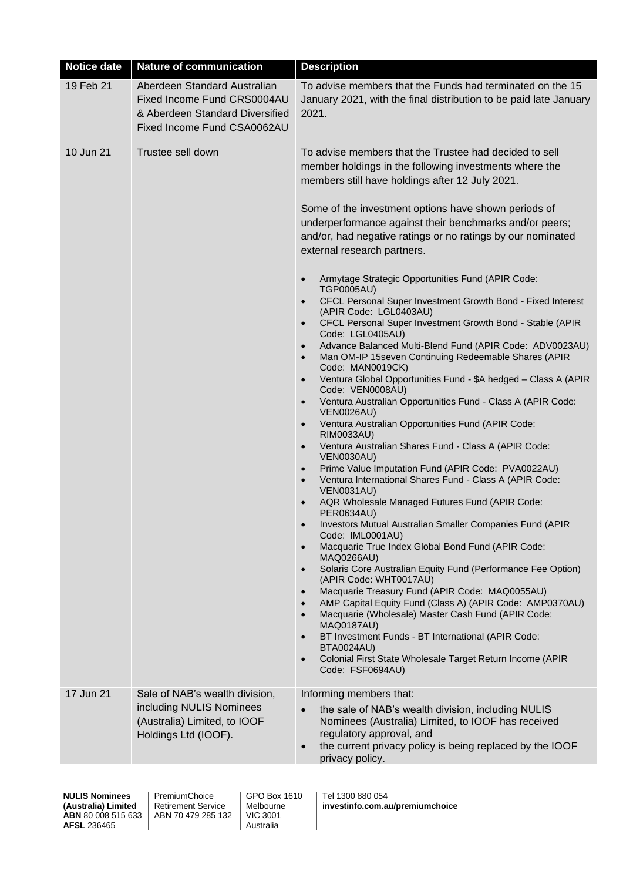| <b>Notice date</b> | <b>Nature of communication</b>                                                                                                | <b>Description</b>                                                                                                                                                                                                                                                                                                                                                                                                                                                                                                                                                                                                                                                                                                                                                                                                                                                                                                                                                                                                                                                                                                                                                                                                                                                                                                                                                                                                                                                                                                                                                                                                                                                                                                                                                                                                                                                                                                                                                                                                                                    |
|--------------------|-------------------------------------------------------------------------------------------------------------------------------|-------------------------------------------------------------------------------------------------------------------------------------------------------------------------------------------------------------------------------------------------------------------------------------------------------------------------------------------------------------------------------------------------------------------------------------------------------------------------------------------------------------------------------------------------------------------------------------------------------------------------------------------------------------------------------------------------------------------------------------------------------------------------------------------------------------------------------------------------------------------------------------------------------------------------------------------------------------------------------------------------------------------------------------------------------------------------------------------------------------------------------------------------------------------------------------------------------------------------------------------------------------------------------------------------------------------------------------------------------------------------------------------------------------------------------------------------------------------------------------------------------------------------------------------------------------------------------------------------------------------------------------------------------------------------------------------------------------------------------------------------------------------------------------------------------------------------------------------------------------------------------------------------------------------------------------------------------------------------------------------------------------------------------------------------------|
| 19 Feb 21          | Aberdeen Standard Australian<br>Fixed Income Fund CRS0004AU<br>& Aberdeen Standard Diversified<br>Fixed Income Fund CSA0062AU | To advise members that the Funds had terminated on the 15<br>January 2021, with the final distribution to be paid late January<br>2021.                                                                                                                                                                                                                                                                                                                                                                                                                                                                                                                                                                                                                                                                                                                                                                                                                                                                                                                                                                                                                                                                                                                                                                                                                                                                                                                                                                                                                                                                                                                                                                                                                                                                                                                                                                                                                                                                                                               |
| 10 Jun 21          | Trustee sell down                                                                                                             | To advise members that the Trustee had decided to sell<br>member holdings in the following investments where the<br>members still have holdings after 12 July 2021.<br>Some of the investment options have shown periods of<br>underperformance against their benchmarks and/or peers;<br>and/or, had negative ratings or no ratings by our nominated<br>external research partners.<br>Armytage Strategic Opportunities Fund (APIR Code:<br><b>TGP0005AU)</b><br>CFCL Personal Super Investment Growth Bond - Fixed Interest<br>$\bullet$<br>(APIR Code: LGL0403AU)<br>CFCL Personal Super Investment Growth Bond - Stable (APIR<br>$\bullet$<br>Code: LGL0405AU)<br>Advance Balanced Multi-Blend Fund (APIR Code: ADV0023AU)<br>Man OM-IP 15seven Continuing Redeemable Shares (APIR<br>$\bullet$<br>Code: MAN0019CK)<br>Ventura Global Opportunities Fund - \$A hedged - Class A (APIR<br>Code: VEN0008AU)<br>Ventura Australian Opportunities Fund - Class A (APIR Code:<br>$\bullet$<br><b>VEN0026AU)</b><br>Ventura Australian Opportunities Fund (APIR Code:<br>$\bullet$<br>RIM0033AU)<br>Ventura Australian Shares Fund - Class A (APIR Code:<br><b>VEN0030AU)</b><br>Prime Value Imputation Fund (APIR Code: PVA0022AU)<br>$\bullet$<br>Ventura International Shares Fund - Class A (APIR Code:<br>$\bullet$<br><b>VEN0031AU)</b><br>AQR Wholesale Managed Futures Fund (APIR Code:<br><b>PER0634AU)</b><br>Investors Mutual Australian Smaller Companies Fund (APIR<br>Code: IML0001AU)<br>Macquarie True Index Global Bond Fund (APIR Code:<br><b>MAQ0266AU)</b><br>Solaris Core Australian Equity Fund (Performance Fee Option)<br>$\bullet$<br>(APIR Code: WHT0017AU)<br>Macquarie Treasury Fund (APIR Code: MAQ0055AU)<br>AMP Capital Equity Fund (Class A) (APIR Code: AMP0370AU)<br>Macquarie (Wholesale) Master Cash Fund (APIR Code:<br>$\bullet$<br><b>MAQ0187AU)</b><br>BT Investment Funds - BT International (APIR Code:<br><b>BTA0024AU)</b><br>Colonial First State Wholesale Target Return Income (APIR<br>Code: FSF0694AU) |
| 17 Jun 21          | Sale of NAB's wealth division,<br>including NULIS Nominees<br>(Australia) Limited, to IOOF<br>Holdings Ltd (IOOF).            | Informing members that:<br>the sale of NAB's wealth division, including NULIS<br>Nominees (Australia) Limited, to IOOF has received<br>regulatory approval, and<br>the current privacy policy is being replaced by the IOOF<br>privacy policy.                                                                                                                                                                                                                                                                                                                                                                                                                                                                                                                                                                                                                                                                                                                                                                                                                                                                                                                                                                                                                                                                                                                                                                                                                                                                                                                                                                                                                                                                                                                                                                                                                                                                                                                                                                                                        |

PremiumChoice Retirement Service ABN 70 479 285 132 GPO Box 1610 Melbourne VIC 3001 Australia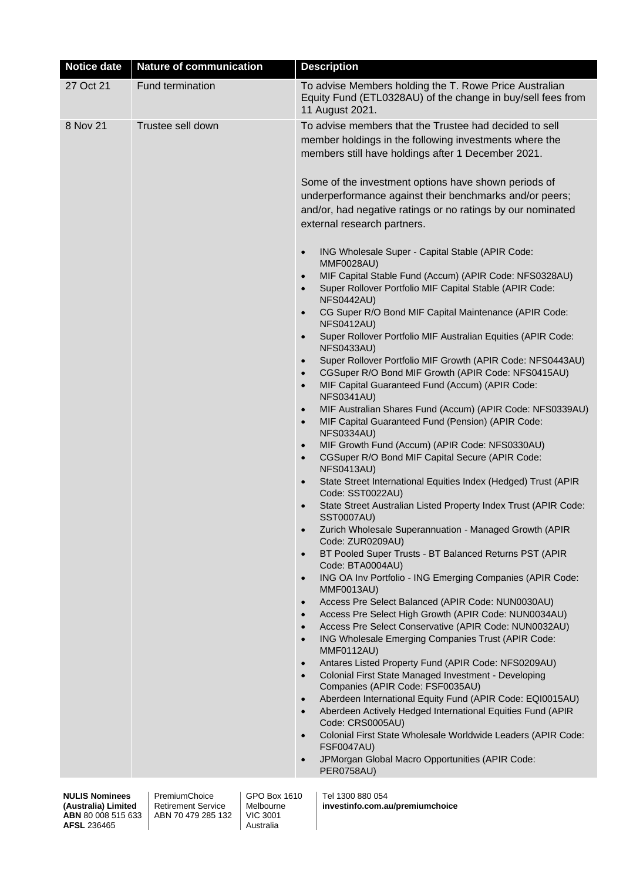| <b>Notice date</b> | <b>Nature of communication</b> | <b>Description</b>                                                                                                                                                                                                                                                                                                                                                                                                                                                                                                                                                                                                                                                                                                                                                                                                                                                                                                                                                                                                                                                                                                                                                                                                                                                                                                                                                                                                                                                                                                                                                                                                                                                                                                                                                                                                                                                                                                                                                                                                                                                                                                                                                                                                                                                                                                                                                                                                                                                                                                                                                                                                       |  |  |
|--------------------|--------------------------------|--------------------------------------------------------------------------------------------------------------------------------------------------------------------------------------------------------------------------------------------------------------------------------------------------------------------------------------------------------------------------------------------------------------------------------------------------------------------------------------------------------------------------------------------------------------------------------------------------------------------------------------------------------------------------------------------------------------------------------------------------------------------------------------------------------------------------------------------------------------------------------------------------------------------------------------------------------------------------------------------------------------------------------------------------------------------------------------------------------------------------------------------------------------------------------------------------------------------------------------------------------------------------------------------------------------------------------------------------------------------------------------------------------------------------------------------------------------------------------------------------------------------------------------------------------------------------------------------------------------------------------------------------------------------------------------------------------------------------------------------------------------------------------------------------------------------------------------------------------------------------------------------------------------------------------------------------------------------------------------------------------------------------------------------------------------------------------------------------------------------------------------------------------------------------------------------------------------------------------------------------------------------------------------------------------------------------------------------------------------------------------------------------------------------------------------------------------------------------------------------------------------------------------------------------------------------------------------------------------------------------|--|--|
| 27 Oct 21          | Fund termination               | To advise Members holding the T. Rowe Price Australian<br>Equity Fund (ETL0328AU) of the change in buy/sell fees from<br>11 August 2021.                                                                                                                                                                                                                                                                                                                                                                                                                                                                                                                                                                                                                                                                                                                                                                                                                                                                                                                                                                                                                                                                                                                                                                                                                                                                                                                                                                                                                                                                                                                                                                                                                                                                                                                                                                                                                                                                                                                                                                                                                                                                                                                                                                                                                                                                                                                                                                                                                                                                                 |  |  |
| 8 Nov 21           | Trustee sell down              | To advise members that the Trustee had decided to sell<br>member holdings in the following investments where the<br>members still have holdings after 1 December 2021.<br>Some of the investment options have shown periods of<br>underperformance against their benchmarks and/or peers;<br>and/or, had negative ratings or no ratings by our nominated<br>external research partners.<br>ING Wholesale Super - Capital Stable (APIR Code:<br>$\bullet$<br><b>MMF0028AU)</b><br>MIF Capital Stable Fund (Accum) (APIR Code: NFS0328AU)<br>$\bullet$<br>Super Rollover Portfolio MIF Capital Stable (APIR Code:<br>$\bullet$<br><b>NFS0442AU)</b><br>CG Super R/O Bond MIF Capital Maintenance (APIR Code:<br>$\bullet$<br><b>NFS0412AU)</b><br>Super Rollover Portfolio MIF Australian Equities (APIR Code:<br>$\bullet$<br><b>NFS0433AU)</b><br>Super Rollover Portfolio MIF Growth (APIR Code: NFS0443AU)<br>$\bullet$<br>CGSuper R/O Bond MIF Growth (APIR Code: NFS0415AU)<br>$\bullet$<br>MIF Capital Guaranteed Fund (Accum) (APIR Code:<br>$\bullet$<br><b>NFS0341AU)</b><br>MIF Australian Shares Fund (Accum) (APIR Code: NFS0339AU)<br>$\bullet$<br>MIF Capital Guaranteed Fund (Pension) (APIR Code:<br>$\bullet$<br><b>NFS0334AU)</b><br>MIF Growth Fund (Accum) (APIR Code: NFS0330AU)<br>CGSuper R/O Bond MIF Capital Secure (APIR Code:<br>$\bullet$<br><b>NFS0413AU)</b><br>State Street International Equities Index (Hedged) Trust (APIR<br>Code: SST0022AU)<br>State Street Australian Listed Property Index Trust (APIR Code:<br>SST0007AU)<br>Zurich Wholesale Superannuation - Managed Growth (APIR<br>Code: ZUR0209AU)<br>BT Pooled Super Trusts - BT Balanced Returns PST (APIR<br>Code: BTA0004AU)<br>ING OA Inv Portfolio - ING Emerging Companies (APIR Code:<br>$\bullet$<br>MMF0013AU)<br>Access Pre Select Balanced (APIR Code: NUN0030AU)<br>$\bullet$<br>Access Pre Select High Growth (APIR Code: NUN0034AU)<br>$\bullet$<br>Access Pre Select Conservative (APIR Code: NUN0032AU)<br>$\bullet$<br>ING Wholesale Emerging Companies Trust (APIR Code:<br>$\bullet$<br><b>MMF0112AU)</b><br>Antares Listed Property Fund (APIR Code: NFS0209AU)<br>$\bullet$<br>Colonial First State Managed Investment - Developing<br>$\bullet$<br>Companies (APIR Code: FSF0035AU)<br>Aberdeen International Equity Fund (APIR Code: EQI0015AU)<br>$\bullet$<br>Aberdeen Actively Hedged International Equities Fund (APIR<br>Code: CRS0005AU)<br>Colonial First State Wholesale Worldwide Leaders (APIR Code:<br><b>FSF0047AU)</b><br>JPMorgan Global Macro Opportunities (APIR Code:<br>PER0758AU) |  |  |

PremiumChoice Retirement Service ABN 70 479 285 132

GPO Box 1610 Melbourne VIC 3001 Australia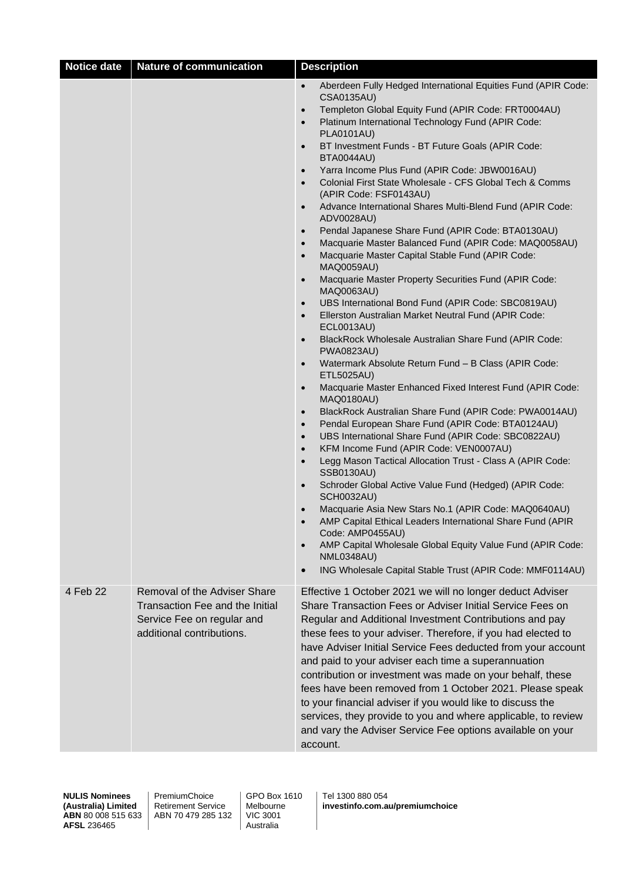| $\bullet$<br>CSA0135AU)<br>Templeton Global Equity Fund (APIR Code: FRT0004AU)<br>$\bullet$<br>Platinum International Technology Fund (APIR Code:<br>$\bullet$<br><b>PLA0101AU)</b><br>BT Investment Funds - BT Future Goals (APIR Code:<br>$\bullet$<br><b>BTA0044AU)</b><br>Yarra Income Plus Fund (APIR Code: JBW0016AU)<br>$\bullet$<br>Colonial First State Wholesale - CFS Global Tech & Comms<br>$\bullet$<br>(APIR Code: FSF0143AU)<br>Advance International Shares Multi-Blend Fund (APIR Code:<br>$\bullet$<br>ADV0028AU)<br>Pendal Japanese Share Fund (APIR Code: BTA0130AU)<br>$\bullet$<br>Macquarie Master Balanced Fund (APIR Code: MAQ0058AU)<br>$\bullet$<br>Macquarie Master Capital Stable Fund (APIR Code:<br>$\bullet$<br><b>MAQ0059AU)</b><br>Macquarie Master Property Securities Fund (APIR Code:<br>$\bullet$<br>MAQ0063AU)<br>UBS International Bond Fund (APIR Code: SBC0819AU)<br>$\bullet$<br>Ellerston Australian Market Neutral Fund (APIR Code:<br><b>ECL0013AU)</b><br>BlackRock Wholesale Australian Share Fund (APIR Code:<br>$\bullet$<br><b>PWA0823AU)</b><br>Watermark Absolute Return Fund - B Class (APIR Code:<br>$\bullet$<br>ETL5025AU)<br>Macquarie Master Enhanced Fixed Interest Fund (APIR Code:<br>$\bullet$<br><b>MAQ0180AU)</b><br>BlackRock Australian Share Fund (APIR Code: PWA0014AU)<br>$\bullet$<br>Pendal European Share Fund (APIR Code: BTA0124AU)<br>$\bullet$<br>UBS International Share Fund (APIR Code: SBC0822AU)<br>$\bullet$<br>KFM Income Fund (APIR Code: VEN0007AU)<br>$\bullet$<br>Legg Mason Tactical Allocation Trust - Class A (APIR Code:<br>$\bullet$<br><b>SSB0130AU)</b><br>Schroder Global Active Value Fund (Hedged) (APIR Code:<br><b>SCH0032AU)</b><br>Macquarie Asia New Stars No.1 (APIR Code: MAQ0640AU)<br>AMP Capital Ethical Leaders International Share Fund (APIR<br>$\bullet$<br>Code: AMP0455AU)<br>AMP Capital Wholesale Global Equity Value Fund (APIR Code:<br><b>NML0348AU)</b><br>ING Wholesale Capital Stable Trust (APIR Code: MMF0114AU)<br>$\bullet$<br>4 Feb 22<br>Removal of the Adviser Share<br>Effective 1 October 2021 we will no longer deduct Adviser<br>Transaction Fee and the Initial<br>Share Transaction Fees or Adviser Initial Service Fees on<br>Service Fee on regular and<br>Regular and Additional Investment Contributions and pay<br>additional contributions.<br>these fees to your adviser. Therefore, if you had elected to<br>and paid to your adviser each time a superannuation<br>contribution or investment was made on your behalf, these<br>fees have been removed from 1 October 2021. Please speak<br>to your financial adviser if you would like to discuss the<br>services, they provide to you and where applicable, to review<br>and vary the Adviser Service Fee options available on your<br>account. | <b>Notice date</b> | <b>Nature of communication</b> | <b>Description</b>                                            |  |  |
|---------------------------------------------------------------------------------------------------------------------------------------------------------------------------------------------------------------------------------------------------------------------------------------------------------------------------------------------------------------------------------------------------------------------------------------------------------------------------------------------------------------------------------------------------------------------------------------------------------------------------------------------------------------------------------------------------------------------------------------------------------------------------------------------------------------------------------------------------------------------------------------------------------------------------------------------------------------------------------------------------------------------------------------------------------------------------------------------------------------------------------------------------------------------------------------------------------------------------------------------------------------------------------------------------------------------------------------------------------------------------------------------------------------------------------------------------------------------------------------------------------------------------------------------------------------------------------------------------------------------------------------------------------------------------------------------------------------------------------------------------------------------------------------------------------------------------------------------------------------------------------------------------------------------------------------------------------------------------------------------------------------------------------------------------------------------------------------------------------------------------------------------------------------------------------------------------------------------------------------------------------------------------------------------------------------------------------------------------------------------------------------------------------------------------------------------------------------------------------------------------------------------------------------------------------------------------------------------------------------------------------------------------------------------------------------------------------------------------------------------------------------------------------------------------------------------------------------------------|--------------------|--------------------------------|---------------------------------------------------------------|--|--|
|                                                                                                                                                                                                                                                                                                                                                                                                                                                                                                                                                                                                                                                                                                                                                                                                                                                                                                                                                                                                                                                                                                                                                                                                                                                                                                                                                                                                                                                                                                                                                                                                                                                                                                                                                                                                                                                                                                                                                                                                                                                                                                                                                                                                                                                                                                                                                                                                                                                                                                                                                                                                                                                                                                                                                                                                                                                   |                    |                                | Aberdeen Fully Hedged International Equities Fund (APIR Code: |  |  |
|                                                                                                                                                                                                                                                                                                                                                                                                                                                                                                                                                                                                                                                                                                                                                                                                                                                                                                                                                                                                                                                                                                                                                                                                                                                                                                                                                                                                                                                                                                                                                                                                                                                                                                                                                                                                                                                                                                                                                                                                                                                                                                                                                                                                                                                                                                                                                                                                                                                                                                                                                                                                                                                                                                                                                                                                                                                   |                    |                                | have Adviser Initial Service Fees deducted from your account  |  |  |

PremiumChoice Retirement Service ABN 70 479 285 132 GPO Box 1610 Melbourne VIC 3001 Australia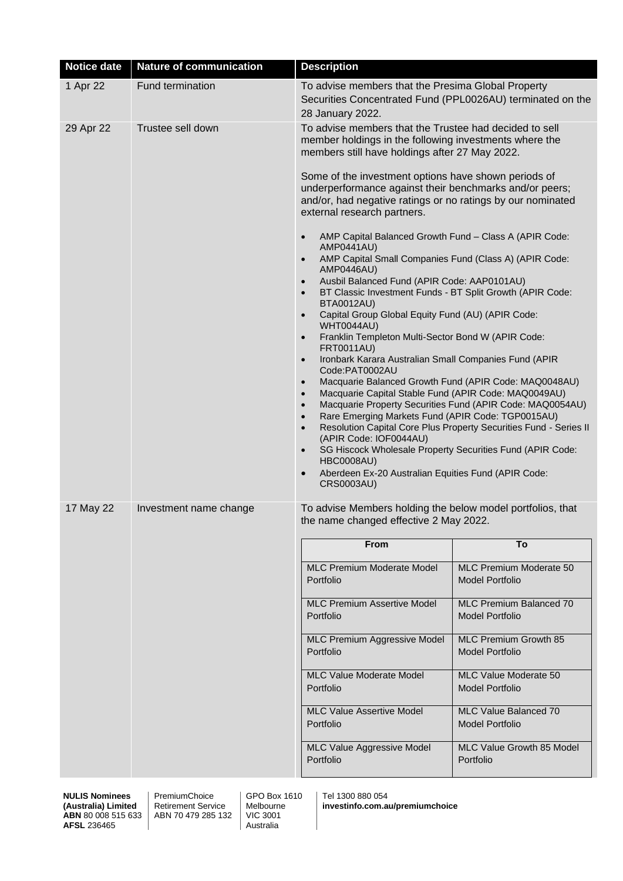| <b>Notice date</b> | <b>Nature of communication</b> | <b>Description</b>                                                                                                                                                                                                                                                                                                                                                                                                                                                                                                                                                                                                                                                                                                                                                                                                                                                                                |                                                          |  |
|--------------------|--------------------------------|---------------------------------------------------------------------------------------------------------------------------------------------------------------------------------------------------------------------------------------------------------------------------------------------------------------------------------------------------------------------------------------------------------------------------------------------------------------------------------------------------------------------------------------------------------------------------------------------------------------------------------------------------------------------------------------------------------------------------------------------------------------------------------------------------------------------------------------------------------------------------------------------------|----------------------------------------------------------|--|
| 1 Apr 22           | Fund termination               | To advise members that the Presima Global Property<br>Securities Concentrated Fund (PPL0026AU) terminated on the<br>28 January 2022.                                                                                                                                                                                                                                                                                                                                                                                                                                                                                                                                                                                                                                                                                                                                                              |                                                          |  |
| 29 Apr 22          | Trustee sell down              | To advise members that the Trustee had decided to sell<br>member holdings in the following investments where the<br>members still have holdings after 27 May 2022.<br>Some of the investment options have shown periods of<br>underperformance against their benchmarks and/or peers;<br>and/or, had negative ratings or no ratings by our nominated<br>external research partners.<br>AMP Capital Balanced Growth Fund - Class A (APIR Code:<br>$\bullet$<br><b>AMP0441AU)</b><br>AMP Capital Small Companies Fund (Class A) (APIR Code:<br>AMP0446AU)<br>Ausbil Balanced Fund (APIR Code: AAP0101AU)<br>$\bullet$<br>BT Classic Investment Funds - BT Split Growth (APIR Code:<br>$\bullet$<br><b>BTA0012AU)</b><br>Capital Group Global Equity Fund (AU) (APIR Code:<br>$\bullet$<br><b>WHT0044AU)</b><br>Franklin Templeton Multi-Sector Bond W (APIR Code:<br>$\bullet$<br><b>FRT0011AU)</b> |                                                          |  |
|                    |                                | Ironbark Karara Australian Small Companies Fund (APIR<br>$\bullet$<br>Code:PAT0002AU<br>Macquarie Balanced Growth Fund (APIR Code: MAQ0048AU)<br>$\bullet$<br>Macquarie Capital Stable Fund (APIR Code: MAQ0049AU)<br>$\bullet$<br>Macquarie Property Securities Fund (APIR Code: MAQ0054AU)<br>$\bullet$<br>Rare Emerging Markets Fund (APIR Code: TGP0015AU)<br>$\bullet$<br>Resolution Capital Core Plus Property Securities Fund - Series II<br>$\bullet$<br>(APIR Code: IOF0044AU)<br>SG Hiscock Wholesale Property Securities Fund (APIR Code:<br>$\bullet$<br><b>HBC0008AU)</b><br>Aberdeen Ex-20 Australian Equities Fund (APIR Code:<br>$\bullet$<br><b>CRS0003AU)</b>                                                                                                                                                                                                                   |                                                          |  |
| 17 May 22          | Investment name change         | To advise Members holding the below model portfolios, that<br>the name changed effective 2 May 2022.                                                                                                                                                                                                                                                                                                                                                                                                                                                                                                                                                                                                                                                                                                                                                                                              |                                                          |  |
|                    |                                | <b>From</b>                                                                                                                                                                                                                                                                                                                                                                                                                                                                                                                                                                                                                                                                                                                                                                                                                                                                                       | To                                                       |  |
|                    |                                | <b>MLC</b> Premium Moderate Model<br>Portfolio                                                                                                                                                                                                                                                                                                                                                                                                                                                                                                                                                                                                                                                                                                                                                                                                                                                    | MLC Premium Moderate 50<br><b>Model Portfolio</b>        |  |
|                    |                                | <b>MLC Premium Assertive Model</b><br>Portfolio                                                                                                                                                                                                                                                                                                                                                                                                                                                                                                                                                                                                                                                                                                                                                                                                                                                   | <b>MLC Premium Balanced 70</b><br><b>Model Portfolio</b> |  |
|                    |                                | MLC Premium Aggressive Model<br>Portfolio                                                                                                                                                                                                                                                                                                                                                                                                                                                                                                                                                                                                                                                                                                                                                                                                                                                         | MLC Premium Growth 85<br><b>Model Portfolio</b>          |  |
|                    |                                | <b>MLC Value Moderate Model</b><br>Portfolio                                                                                                                                                                                                                                                                                                                                                                                                                                                                                                                                                                                                                                                                                                                                                                                                                                                      | MLC Value Moderate 50<br><b>Model Portfolio</b>          |  |
|                    |                                | <b>MLC Value Assertive Model</b><br>Portfolio                                                                                                                                                                                                                                                                                                                                                                                                                                                                                                                                                                                                                                                                                                                                                                                                                                                     | MLC Value Balanced 70<br><b>Model Portfolio</b>          |  |
|                    |                                | <b>MLC</b> Value Aggressive Model<br>Portfolio                                                                                                                                                                                                                                                                                                                                                                                                                                                                                                                                                                                                                                                                                                                                                                                                                                                    | MLC Value Growth 85 Model<br>Portfolio                   |  |

PremiumChoice Retirement Service ABN 70 479 285 132 GPO Box 1610 Melbourne VIC 3001 Australia